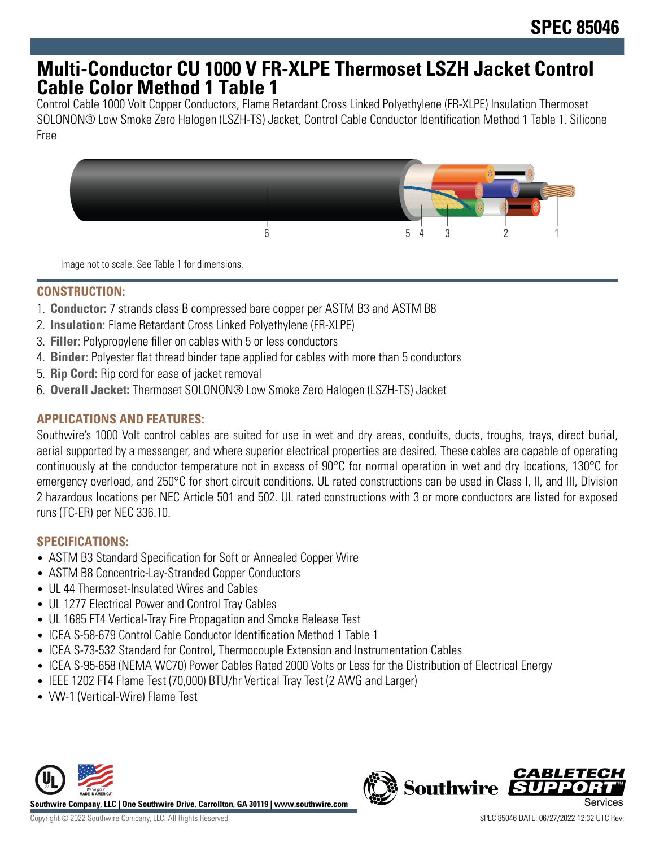# **Multi-Conductor CU 1000 V FR-XLPE Thermoset LSZH Jacket Control Cable Color Method 1 Table 1**

Control Cable 1000 Volt Copper Conductors, Flame Retardant Cross Linked Polyethylene (FR-XLPE) Insulation Thermoset SOLONON® Low Smoke Zero Halogen (LSZH-TS) Jacket, Control Cable Conductor Identification Method 1 Table 1. Silicone Free



Image not to scale. See Table 1 for dimensions.

## **CONSTRUCTION:**

- 1. **Conductor:** 7 strands class B compressed bare copper per ASTM B3 and ASTM B8
- 2. **Insulation:** Flame Retardant Cross Linked Polyethylene (FR-XLPE)
- 3. **Filler:** Polypropylene filler on cables with 5 or less conductors
- 4. **Binder:** Polyester flat thread binder tape applied for cables with more than 5 conductors
- 5. **Rip Cord:** Rip cord for ease of jacket removal
- 6. **Overall Jacket:** Thermoset SOLONON® Low Smoke Zero Halogen (LSZH-TS) Jacket

# **APPLICATIONS AND FEATURES:**

Southwire's 1000 Volt control cables are suited for use in wet and dry areas, conduits, ducts, troughs, trays, direct burial, aerial supported by a messenger, and where superior electrical properties are desired. These cables are capable of operating continuously at the conductor temperature not in excess of 90°C for normal operation in wet and dry locations, 130°C for emergency overload, and 250°C for short circuit conditions. UL rated constructions can be used in Class I, II, and III, Division 2 hazardous locations per NEC Article 501 and 502. UL rated constructions with 3 or more conductors are listed for exposed runs (TC-ER) per NEC 336.10.

## **SPECIFICATIONS:**

- ASTM B3 Standard Specification for Soft or Annealed Copper Wire
- ASTM B8 Concentric-Lay-Stranded Copper Conductors
- UL 44 Thermoset-Insulated Wires and Cables
- UL 1277 Electrical Power and Control Tray Cables
- UL 1685 FT4 Vertical-Tray Fire Propagation and Smoke Release Test
- ICEA S-58-679 Control Cable Conductor Identification Method 1 Table 1
- ICEA S-73-532 Standard for Control, Thermocouple Extension and Instrumentation Cables
- ICEA S-95-658 (NEMA WC70) Power Cables Rated 2000 Volts or Less for the Distribution of Electrical Energy
- IEEE 1202 FT4 Flame Test (70,000) BTU/hr Vertical Tray Test (2 AWG and Larger)
- VW-1 (Vertical-Wire) Flame Test



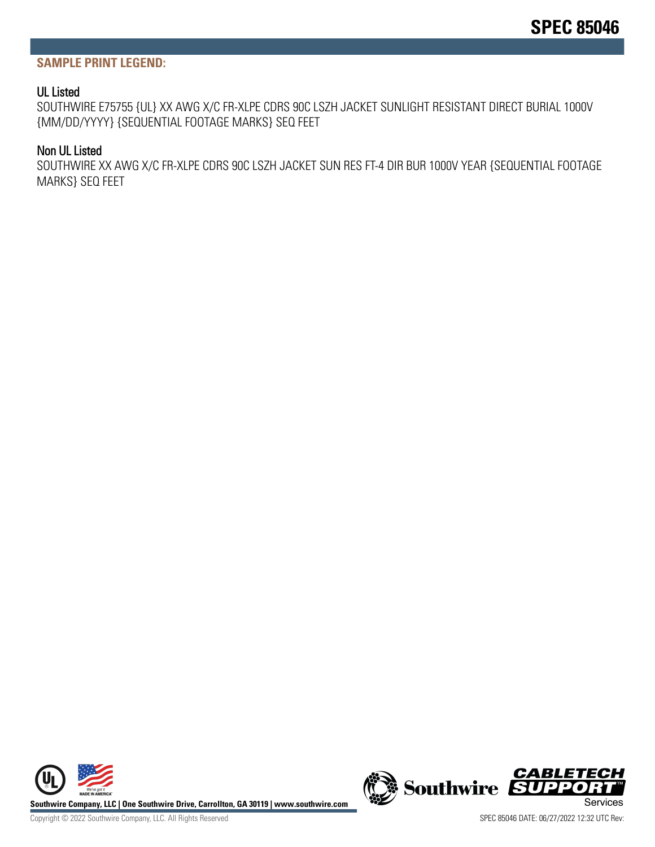#### **SAMPLE PRINT LEGEND:**

#### UL Listed

SOUTHWIRE E75755 {UL} XX AWG X/C FR-XLPE CDRS 90C LSZH JACKET SUNLIGHT RESISTANT DIRECT BURIAL 1000V {MM/DD/YYYY} {SEQUENTIAL FOOTAGE MARKS} SEQ FEET

### Non UL Listed

SOUTHWIRE XX AWG X/C FR-XLPE CDRS 90C LSZH JACKET SUN RES FT-4 DIR BUR 1000V YEAR {SEQUENTIAL FOOTAGE MARKS} SEQ FEET